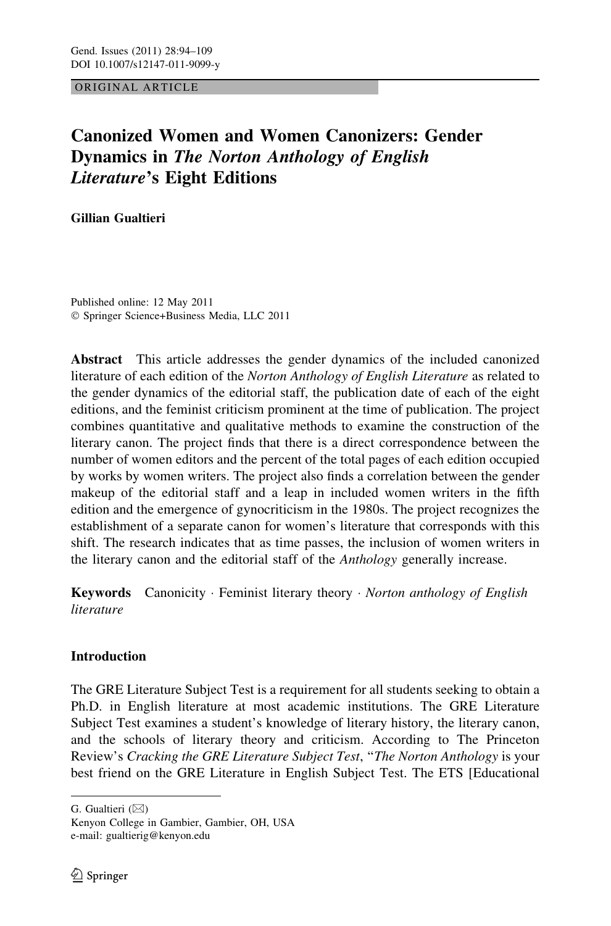ORIGINAL ARTICLE

## Canonized Women and Women Canonizers: Gender Dynamics in The Norton Anthology of English Literature's Eight Editions

Gillian Gualtieri

Published online: 12 May 2011 - Springer Science+Business Media, LLC 2011

Abstract This article addresses the gender dynamics of the included canonized literature of each edition of the Norton Anthology of English Literature as related to the gender dynamics of the editorial staff, the publication date of each of the eight editions, and the feminist criticism prominent at the time of publication. The project combines quantitative and qualitative methods to examine the construction of the literary canon. The project finds that there is a direct correspondence between the number of women editors and the percent of the total pages of each edition occupied by works by women writers. The project also finds a correlation between the gender makeup of the editorial staff and a leap in included women writers in the fifth edition and the emergence of gynocriticism in the 1980s. The project recognizes the establishment of a separate canon for women's literature that corresponds with this shift. The research indicates that as time passes, the inclusion of women writers in the literary canon and the editorial staff of the Anthology generally increase.

Keywords Canonicity · Feminist literary theory · Norton anthology of English literature

### Introduction

The GRE Literature Subject Test is a requirement for all students seeking to obtain a Ph.D. in English literature at most academic institutions. The GRE Literature Subject Test examines a student's knowledge of literary history, the literary canon, and the schools of literary theory and criticism. According to The Princeton Review's Cracking the GRE Literature Subject Test, "The Norton Anthology is your best friend on the GRE Literature in English Subject Test. The ETS [Educational

G. Gualtieri  $(\boxtimes)$ 

Kenyon College in Gambier, Gambier, OH, USA e-mail: gualtierig@kenyon.edu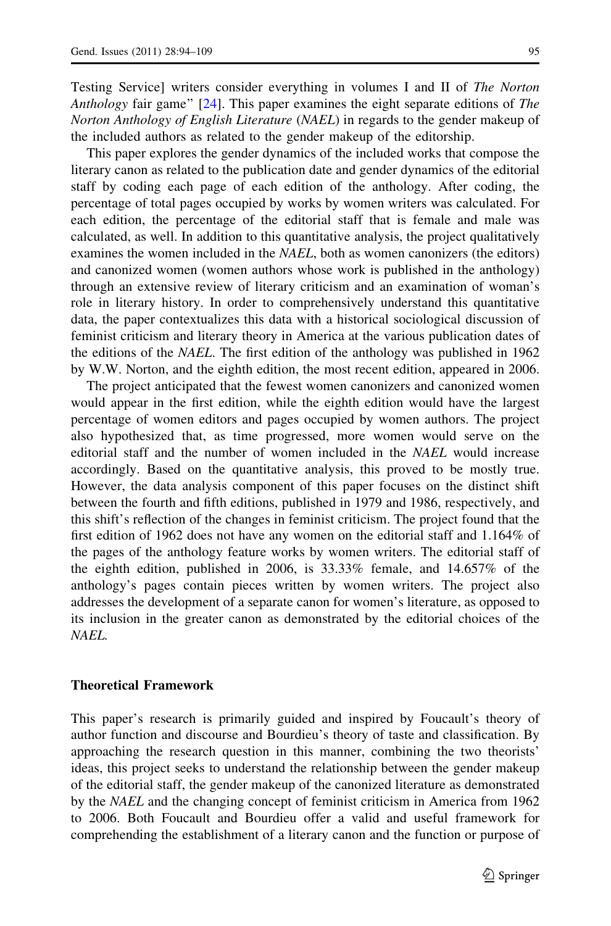Testing Service] writers consider everything in volumes I and II of The Norton Anthology fair game" [\[24](#page-15-0)]. This paper examines the eight separate editions of The Norton Anthology of English Literature (NAEL) in regards to the gender makeup of the included authors as related to the gender makeup of the editorship.

This paper explores the gender dynamics of the included works that compose the literary canon as related to the publication date and gender dynamics of the editorial staff by coding each page of each edition of the anthology. After coding, the percentage of total pages occupied by works by women writers was calculated. For each edition, the percentage of the editorial staff that is female and male was calculated, as well. In addition to this quantitative analysis, the project qualitatively examines the women included in the *NAEL*, both as women canonizers (the editors) and canonized women (women authors whose work is published in the anthology) through an extensive review of literary criticism and an examination of woman's role in literary history. In order to comprehensively understand this quantitative data, the paper contextualizes this data with a historical sociological discussion of feminist criticism and literary theory in America at the various publication dates of the editions of the NAEL. The first edition of the anthology was published in 1962 by W.W. Norton, and the eighth edition, the most recent edition, appeared in 2006.

The project anticipated that the fewest women canonizers and canonized women would appear in the first edition, while the eighth edition would have the largest percentage of women editors and pages occupied by women authors. The project also hypothesized that, as time progressed, more women would serve on the editorial staff and the number of women included in the NAEL would increase accordingly. Based on the quantitative analysis, this proved to be mostly true. However, the data analysis component of this paper focuses on the distinct shift between the fourth and fifth editions, published in 1979 and 1986, respectively, and this shift's reflection of the changes in feminist criticism. The project found that the first edition of 1962 does not have any women on the editorial staff and 1.164% of the pages of the anthology feature works by women writers. The editorial staff of the eighth edition, published in 2006, is 33.33% female, and 14.657% of the anthology's pages contain pieces written by women writers. The project also addresses the development of a separate canon for women's literature, as opposed to its inclusion in the greater canon as demonstrated by the editorial choices of the NAEL.

### Theoretical Framework

This paper's research is primarily guided and inspired by Foucault's theory of author function and discourse and Bourdieu's theory of taste and classification. By approaching the research question in this manner, combining the two theorists' ideas, this project seeks to understand the relationship between the gender makeup of the editorial staff, the gender makeup of the canonized literature as demonstrated by the NAEL and the changing concept of feminist criticism in America from 1962 to 2006. Both Foucault and Bourdieu offer a valid and useful framework for comprehending the establishment of a literary canon and the function or purpose of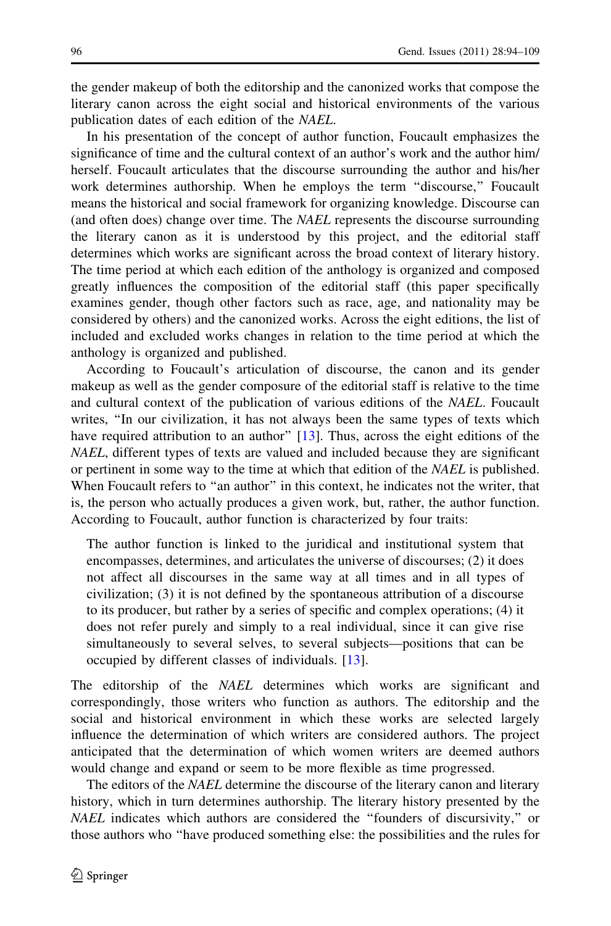the gender makeup of both the editorship and the canonized works that compose the literary canon across the eight social and historical environments of the various publication dates of each edition of the NAEL.

In his presentation of the concept of author function, Foucault emphasizes the significance of time and the cultural context of an author's work and the author him/ herself. Foucault articulates that the discourse surrounding the author and his/her work determines authorship. When he employs the term "discourse," Foucault means the historical and social framework for organizing knowledge. Discourse can (and often does) change over time. The *NAEL* represents the discourse surrounding the literary canon as it is understood by this project, and the editorial staff determines which works are significant across the broad context of literary history. The time period at which each edition of the anthology is organized and composed greatly influences the composition of the editorial staff (this paper specifically examines gender, though other factors such as race, age, and nationality may be considered by others) and the canonized works. Across the eight editions, the list of included and excluded works changes in relation to the time period at which the anthology is organized and published.

According to Foucault's articulation of discourse, the canon and its gender makeup as well as the gender composure of the editorial staff is relative to the time and cultural context of the publication of various editions of the *NAEL*. Foucault writes, "In our civilization, it has not always been the same types of texts which have required attribution to an author" [[13\]](#page-14-0). Thus, across the eight editions of the NAEL, different types of texts are valued and included because they are significant or pertinent in some way to the time at which that edition of the NAEL is published. When Foucault refers to "an author" in this context, he indicates not the writer, that is, the person who actually produces a given work, but, rather, the author function. According to Foucault, author function is characterized by four traits:

The author function is linked to the juridical and institutional system that encompasses, determines, and articulates the universe of discourses; (2) it does not affect all discourses in the same way at all times and in all types of civilization; (3) it is not defined by the spontaneous attribution of a discourse to its producer, but rather by a series of specific and complex operations; (4) it does not refer purely and simply to a real individual, since it can give rise simultaneously to several selves, to several subjects—positions that can be occupied by different classes of individuals. [\[13](#page-14-0)].

The editorship of the *NAEL* determines which works are significant and correspondingly, those writers who function as authors. The editorship and the social and historical environment in which these works are selected largely influence the determination of which writers are considered authors. The project anticipated that the determination of which women writers are deemed authors would change and expand or seem to be more flexible as time progressed.

The editors of the NAEL determine the discourse of the literary canon and literary history, which in turn determines authorship. The literary history presented by the NAEL indicates which authors are considered the ''founders of discursivity,'' or those authors who ''have produced something else: the possibilities and the rules for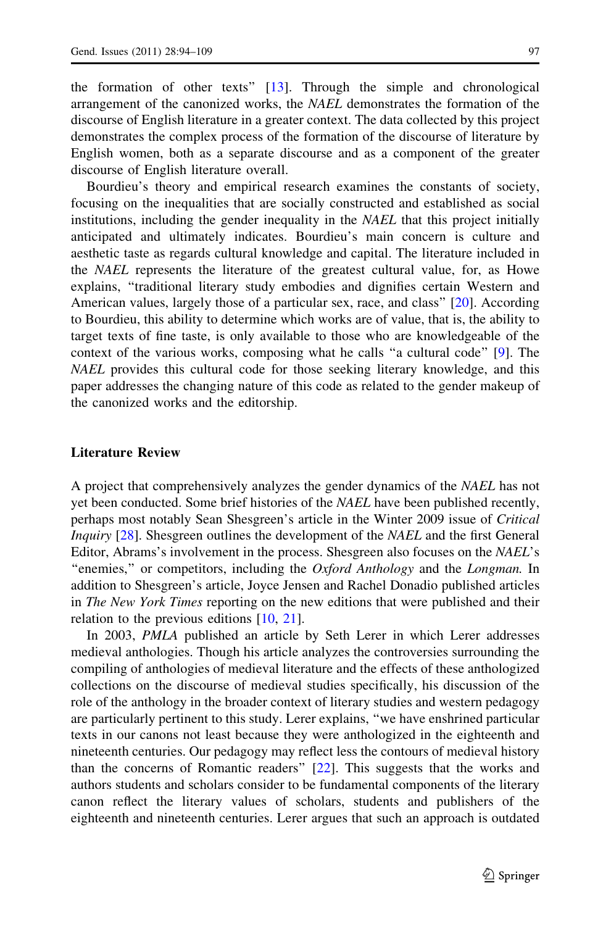the formation of other texts'' [[13](#page-14-0)]. Through the simple and chronological arrangement of the canonized works, the NAEL demonstrates the formation of the discourse of English literature in a greater context. The data collected by this project demonstrates the complex process of the formation of the discourse of literature by English women, both as a separate discourse and as a component of the greater discourse of English literature overall.

Bourdieu's theory and empirical research examines the constants of society, focusing on the inequalities that are socially constructed and established as social institutions, including the gender inequality in the NAEL that this project initially anticipated and ultimately indicates. Bourdieu's main concern is culture and aesthetic taste as regards cultural knowledge and capital. The literature included in the NAEL represents the literature of the greatest cultural value, for, as Howe explains, ''traditional literary study embodies and dignifies certain Western and American values, largely those of a particular sex, race, and class'' [[20](#page-15-0)]. According to Bourdieu, this ability to determine which works are of value, that is, the ability to target texts of fine taste, is only available to those who are knowledgeable of the context of the various works, composing what he calls ''a cultural code'' [\[9](#page-14-0)]. The NAEL provides this cultural code for those seeking literary knowledge, and this paper addresses the changing nature of this code as related to the gender makeup of the canonized works and the editorship.

### Literature Review

A project that comprehensively analyzes the gender dynamics of the NAEL has not yet been conducted. Some brief histories of the NAEL have been published recently, perhaps most notably Sean Shesgreen's article in the Winter 2009 issue of Critical *Inquiry* [[28](#page-15-0)]. Shesgreen outlines the development of the *NAEL* and the first General Editor, Abrams's involvement in the process. Shesgreen also focuses on the NAEL's "enemies," or competitors, including the *Oxford Anthology* and the *Longman*. In addition to Shesgreen's article, Joyce Jensen and Rachel Donadio published articles in The New York Times reporting on the new editions that were published and their relation to the previous editions [[10,](#page-14-0) [21\]](#page-15-0).

In 2003, PMLA published an article by Seth Lerer in which Lerer addresses medieval anthologies. Though his article analyzes the controversies surrounding the compiling of anthologies of medieval literature and the effects of these anthologized collections on the discourse of medieval studies specifically, his discussion of the role of the anthology in the broader context of literary studies and western pedagogy are particularly pertinent to this study. Lerer explains, ''we have enshrined particular texts in our canons not least because they were anthologized in the eighteenth and nineteenth centuries. Our pedagogy may reflect less the contours of medieval history than the concerns of Romantic readers'' [[22\]](#page-15-0). This suggests that the works and authors students and scholars consider to be fundamental components of the literary canon reflect the literary values of scholars, students and publishers of the eighteenth and nineteenth centuries. Lerer argues that such an approach is outdated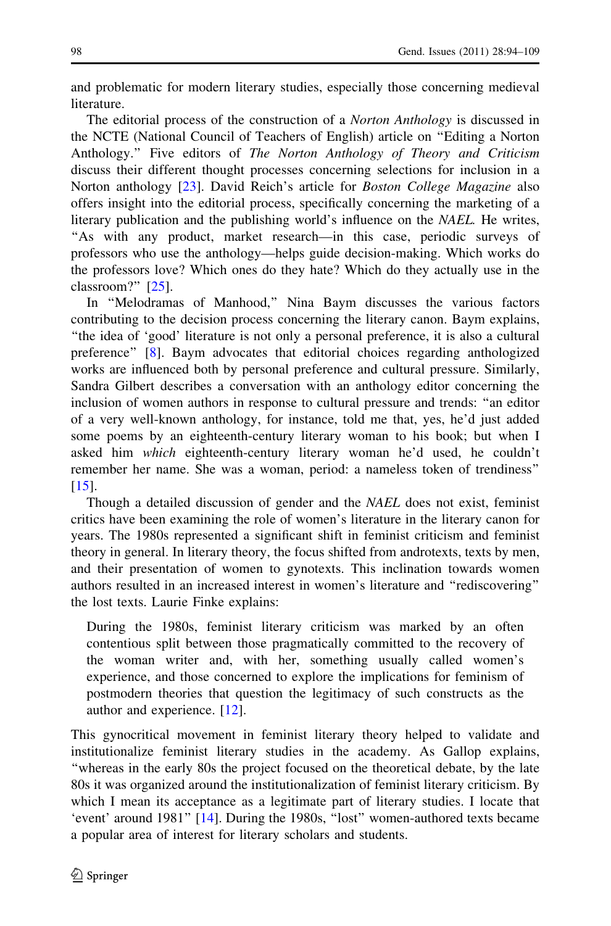and problematic for modern literary studies, especially those concerning medieval literature.

The editorial process of the construction of a Norton Anthology is discussed in the NCTE (National Council of Teachers of English) article on ''Editing a Norton Anthology.'' Five editors of The Norton Anthology of Theory and Criticism discuss their different thought processes concerning selections for inclusion in a Norton anthology [\[23](#page-15-0)]. David Reich's article for *Boston College Magazine* also offers insight into the editorial process, specifically concerning the marketing of a literary publication and the publishing world's influence on the NAEL. He writes, ''As with any product, market research—in this case, periodic surveys of professors who use the anthology—helps guide decision-making. Which works do the professors love? Which ones do they hate? Which do they actually use in the classroom?" [[25\]](#page-15-0).

In ''Melodramas of Manhood,'' Nina Baym discusses the various factors contributing to the decision process concerning the literary canon. Baym explains, ''the idea of 'good' literature is not only a personal preference, it is also a cultural preference'' [[8\]](#page-14-0). Baym advocates that editorial choices regarding anthologized works are influenced both by personal preference and cultural pressure. Similarly, Sandra Gilbert describes a conversation with an anthology editor concerning the inclusion of women authors in response to cultural pressure and trends: ''an editor of a very well-known anthology, for instance, told me that, yes, he'd just added some poems by an eighteenth-century literary woman to his book; but when I asked him which eighteenth-century literary woman he'd used, he couldn't remember her name. She was a woman, period: a nameless token of trendiness'' [\[15](#page-14-0)].

Though a detailed discussion of gender and the *NAEL* does not exist, feminist critics have been examining the role of women's literature in the literary canon for years. The 1980s represented a significant shift in feminist criticism and feminist theory in general. In literary theory, the focus shifted from androtexts, texts by men, and their presentation of women to gynotexts. This inclination towards women authors resulted in an increased interest in women's literature and ''rediscovering'' the lost texts. Laurie Finke explains:

During the 1980s, feminist literary criticism was marked by an often contentious split between those pragmatically committed to the recovery of the woman writer and, with her, something usually called women's experience, and those concerned to explore the implications for feminism of postmodern theories that question the legitimacy of such constructs as the author and experience. [[12\]](#page-14-0).

This gynocritical movement in feminist literary theory helped to validate and institutionalize feminist literary studies in the academy. As Gallop explains, ''whereas in the early 80s the project focused on the theoretical debate, by the late 80s it was organized around the institutionalization of feminist literary criticism. By which I mean its acceptance as a legitimate part of literary studies. I locate that 'event' around 1981'' [\[14](#page-14-0)]. During the 1980s, ''lost'' women-authored texts became a popular area of interest for literary scholars and students.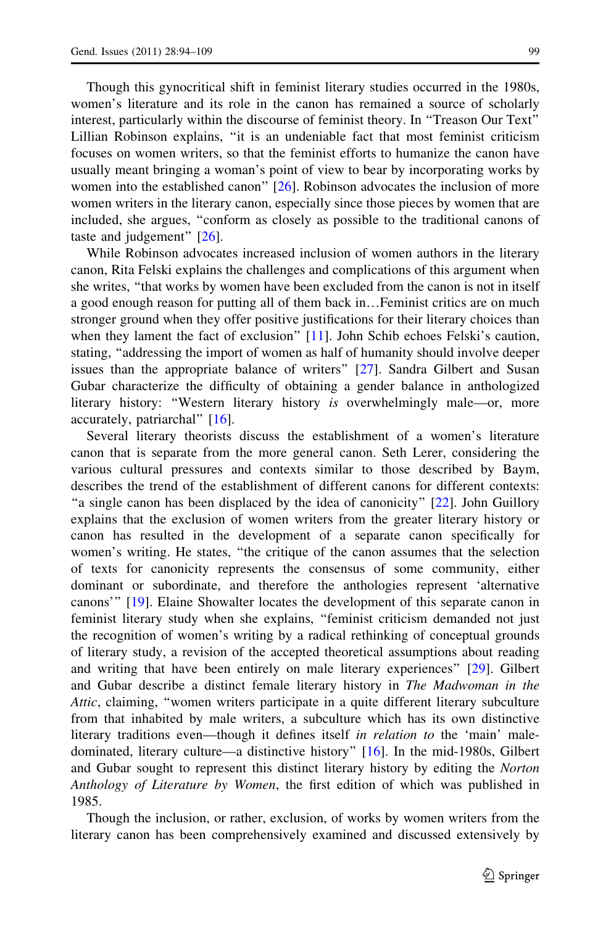Though this gynocritical shift in feminist literary studies occurred in the 1980s, women's literature and its role in the canon has remained a source of scholarly interest, particularly within the discourse of feminist theory. In ''Treason Our Text'' Lillian Robinson explains, ''it is an undeniable fact that most feminist criticism focuses on women writers, so that the feminist efforts to humanize the canon have usually meant bringing a woman's point of view to bear by incorporating works by women into the established canon" [[26\]](#page-15-0). Robinson advocates the inclusion of more women writers in the literary canon, especially since those pieces by women that are included, she argues, ''conform as closely as possible to the traditional canons of taste and judgement'' [[26\]](#page-15-0).

While Robinson advocates increased inclusion of women authors in the literary canon, Rita Felski explains the challenges and complications of this argument when she writes, ''that works by women have been excluded from the canon is not in itself a good enough reason for putting all of them back in…Feminist critics are on much stronger ground when they offer positive justifications for their literary choices than when they lament the fact of exclusion" [\[11](#page-14-0)]. John Schib echoes Felski's caution, stating, ''addressing the import of women as half of humanity should involve deeper issues than the appropriate balance of writers'' [[27](#page-15-0)]. Sandra Gilbert and Susan Gubar characterize the difficulty of obtaining a gender balance in anthologized literary history: ''Western literary history is overwhelmingly male—or, more accurately, patriarchal'' [\[16](#page-14-0)].

Several literary theorists discuss the establishment of a women's literature canon that is separate from the more general canon. Seth Lerer, considering the various cultural pressures and contexts similar to those described by Baym, describes the trend of the establishment of different canons for different contexts: "a single canon has been displaced by the idea of canonicity" [\[22](#page-15-0)]. John Guillory explains that the exclusion of women writers from the greater literary history or canon has resulted in the development of a separate canon specifically for women's writing. He states, "the critique of the canon assumes that the selection of texts for canonicity represents the consensus of some community, either dominant or subordinate, and therefore the anthologies represent 'alternative canons''' [\[19](#page-14-0)]. Elaine Showalter locates the development of this separate canon in feminist literary study when she explains, ''feminist criticism demanded not just the recognition of women's writing by a radical rethinking of conceptual grounds of literary study, a revision of the accepted theoretical assumptions about reading and writing that have been entirely on male literary experiences'' [\[29](#page-15-0)]. Gilbert and Gubar describe a distinct female literary history in The Madwoman in the Attic, claiming, "women writers participate in a quite different literary subculture from that inhabited by male writers, a subculture which has its own distinctive literary traditions even—though it defines itself in relation to the 'main' maledominated, literary culture—a distinctive history'' [[16\]](#page-14-0). In the mid-1980s, Gilbert and Gubar sought to represent this distinct literary history by editing the Norton Anthology of Literature by Women, the first edition of which was published in 1985.

Though the inclusion, or rather, exclusion, of works by women writers from the literary canon has been comprehensively examined and discussed extensively by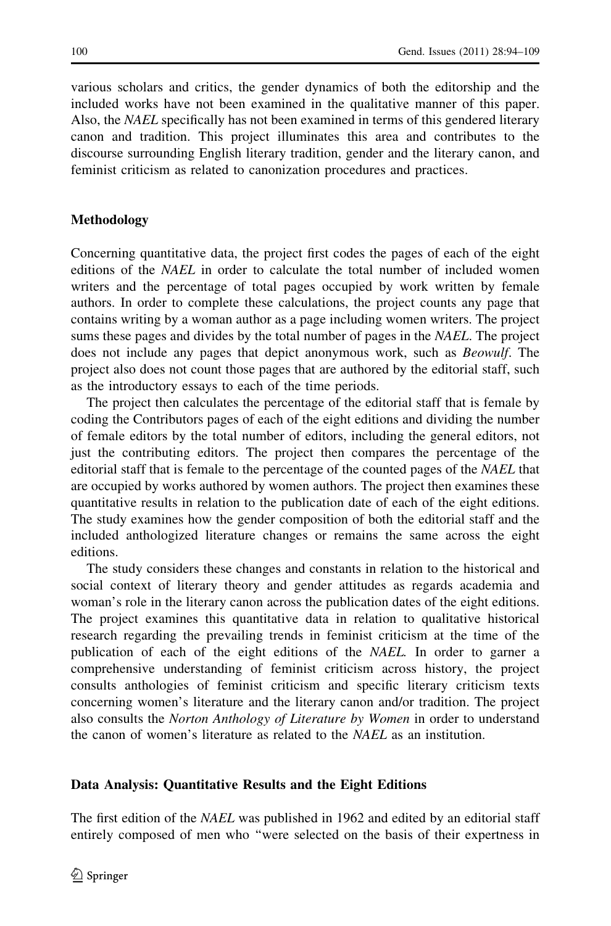various scholars and critics, the gender dynamics of both the editorship and the included works have not been examined in the qualitative manner of this paper. Also, the NAEL specifically has not been examined in terms of this gendered literary canon and tradition. This project illuminates this area and contributes to the discourse surrounding English literary tradition, gender and the literary canon, and feminist criticism as related to canonization procedures and practices.

### Methodology

Concerning quantitative data, the project first codes the pages of each of the eight editions of the *NAEL* in order to calculate the total number of included women writers and the percentage of total pages occupied by work written by female authors. In order to complete these calculations, the project counts any page that contains writing by a woman author as a page including women writers. The project sums these pages and divides by the total number of pages in the NAEL. The project does not include any pages that depict anonymous work, such as *Beowulf*. The project also does not count those pages that are authored by the editorial staff, such as the introductory essays to each of the time periods.

The project then calculates the percentage of the editorial staff that is female by coding the Contributors pages of each of the eight editions and dividing the number of female editors by the total number of editors, including the general editors, not just the contributing editors. The project then compares the percentage of the editorial staff that is female to the percentage of the counted pages of the NAEL that are occupied by works authored by women authors. The project then examines these quantitative results in relation to the publication date of each of the eight editions. The study examines how the gender composition of both the editorial staff and the included anthologized literature changes or remains the same across the eight editions.

The study considers these changes and constants in relation to the historical and social context of literary theory and gender attitudes as regards academia and woman's role in the literary canon across the publication dates of the eight editions. The project examines this quantitative data in relation to qualitative historical research regarding the prevailing trends in feminist criticism at the time of the publication of each of the eight editions of the NAEL. In order to garner a comprehensive understanding of feminist criticism across history, the project consults anthologies of feminist criticism and specific literary criticism texts concerning women's literature and the literary canon and/or tradition. The project also consults the Norton Anthology of Literature by Women in order to understand the canon of women's literature as related to the NAEL as an institution.

### Data Analysis: Quantitative Results and the Eight Editions

The first edition of the *NAEL* was published in 1962 and edited by an editorial staff entirely composed of men who ''were selected on the basis of their expertness in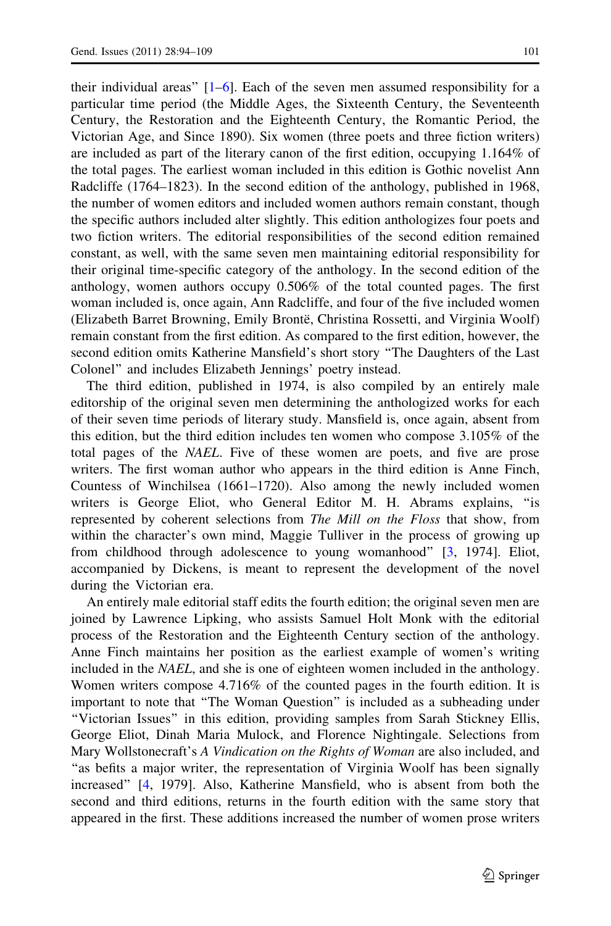their individual areas"  $[1-6]$ . Each of the seven men assumed responsibility for a particular time period (the Middle Ages, the Sixteenth Century, the Seventeenth Century, the Restoration and the Eighteenth Century, the Romantic Period, the Victorian Age, and Since 1890). Six women (three poets and three fiction writers) are included as part of the literary canon of the first edition, occupying 1.164% of the total pages. The earliest woman included in this edition is Gothic novelist Ann Radcliffe (1764–1823). In the second edition of the anthology, published in 1968, the number of women editors and included women authors remain constant, though the specific authors included alter slightly. This edition anthologizes four poets and two fiction writers. The editorial responsibilities of the second edition remained constant, as well, with the same seven men maintaining editorial responsibility for their original time-specific category of the anthology. In the second edition of the anthology, women authors occupy 0.506% of the total counted pages. The first woman included is, once again, Ann Radcliffe, and four of the five included women (Elizabeth Barret Browning, Emily Brontë, Christina Rossetti, and Virginia Woolf) remain constant from the first edition. As compared to the first edition, however, the second edition omits Katherine Mansfield's short story ''The Daughters of the Last Colonel'' and includes Elizabeth Jennings' poetry instead.

The third edition, published in 1974, is also compiled by an entirely male editorship of the original seven men determining the anthologized works for each of their seven time periods of literary study. Mansfield is, once again, absent from this edition, but the third edition includes ten women who compose 3.105% of the total pages of the NAEL. Five of these women are poets, and five are prose writers. The first woman author who appears in the third edition is Anne Finch, Countess of Winchilsea (1661–1720). Also among the newly included women writers is George Eliot, who General Editor M. H. Abrams explains, ''is represented by coherent selections from *The Mill on the Floss* that show, from within the character's own mind, Maggie Tulliver in the process of growing up from childhood through adolescence to young womanhood'' [\[3](#page-14-0), 1974]. Eliot, accompanied by Dickens, is meant to represent the development of the novel during the Victorian era.

An entirely male editorial staff edits the fourth edition; the original seven men are joined by Lawrence Lipking, who assists Samuel Holt Monk with the editorial process of the Restoration and the Eighteenth Century section of the anthology. Anne Finch maintains her position as the earliest example of women's writing included in the *NAEL*, and she is one of eighteen women included in the anthology. Women writers compose 4.716% of the counted pages in the fourth edition. It is important to note that ''The Woman Question'' is included as a subheading under ''Victorian Issues'' in this edition, providing samples from Sarah Stickney Ellis, George Eliot, Dinah Maria Mulock, and Florence Nightingale. Selections from Mary Wollstonecraft's A Vindication on the Rights of Woman are also included, and ''as befits a major writer, the representation of Virginia Woolf has been signally increased'' [[4,](#page-14-0) 1979]. Also, Katherine Mansfield, who is absent from both the second and third editions, returns in the fourth edition with the same story that appeared in the first. These additions increased the number of women prose writers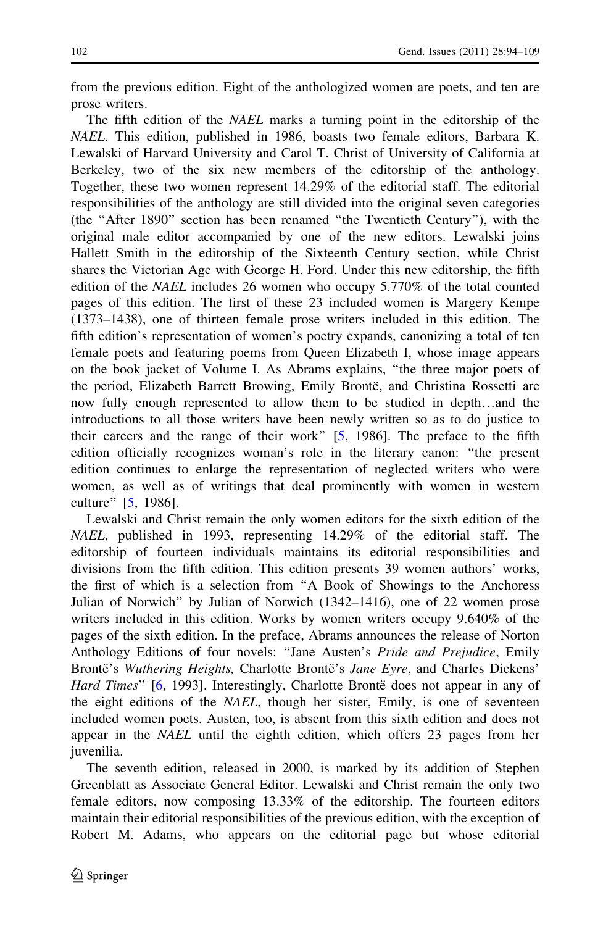from the previous edition. Eight of the anthologized women are poets, and ten are prose writers.

The fifth edition of the *NAEL* marks a turning point in the editorship of the NAEL. This edition, published in 1986, boasts two female editors, Barbara K. Lewalski of Harvard University and Carol T. Christ of University of California at Berkeley, two of the six new members of the editorship of the anthology. Together, these two women represent 14.29% of the editorial staff. The editorial responsibilities of the anthology are still divided into the original seven categories (the ''After 1890'' section has been renamed ''the Twentieth Century''), with the original male editor accompanied by one of the new editors. Lewalski joins Hallett Smith in the editorship of the Sixteenth Century section, while Christ shares the Victorian Age with George H. Ford. Under this new editorship, the fifth edition of the NAEL includes 26 women who occupy 5.770% of the total counted pages of this edition. The first of these 23 included women is Margery Kempe (1373–1438), one of thirteen female prose writers included in this edition. The fifth edition's representation of women's poetry expands, canonizing a total of ten female poets and featuring poems from Queen Elizabeth I, whose image appears on the book jacket of Volume I. As Abrams explains, ''the three major poets of the period, Elizabeth Barrett Browing, Emily Brontë, and Christina Rossetti are now fully enough represented to allow them to be studied in depth…and the introductions to all those writers have been newly written so as to do justice to their careers and the range of their work'' [\[5](#page-14-0), 1986]. The preface to the fifth edition officially recognizes woman's role in the literary canon: ''the present edition continues to enlarge the representation of neglected writers who were women, as well as of writings that deal prominently with women in western culture'' [[5,](#page-14-0) 1986].

Lewalski and Christ remain the only women editors for the sixth edition of the NAEL, published in 1993, representing 14.29% of the editorial staff. The editorship of fourteen individuals maintains its editorial responsibilities and divisions from the fifth edition. This edition presents 39 women authors' works, the first of which is a selection from ''A Book of Showings to the Anchoress Julian of Norwich'' by Julian of Norwich (1342–1416), one of 22 women prose writers included in this edition. Works by women writers occupy 9.640% of the pages of the sixth edition. In the preface, Abrams announces the release of Norton Anthology Editions of four novels: "Jane Austen's Pride and Prejudice, Emily Brontë's Wuthering Heights, Charlotte Brontë's Jane Eyre, and Charles Dickens' Hard Times" [\[6](#page-14-0), 1993]. Interestingly, Charlotte Bronte does not appear in any of the eight editions of the NAEL, though her sister, Emily, is one of seventeen included women poets. Austen, too, is absent from this sixth edition and does not appear in the NAEL until the eighth edition, which offers 23 pages from her juvenilia.

The seventh edition, released in 2000, is marked by its addition of Stephen Greenblatt as Associate General Editor. Lewalski and Christ remain the only two female editors, now composing 13.33% of the editorship. The fourteen editors maintain their editorial responsibilities of the previous edition, with the exception of Robert M. Adams, who appears on the editorial page but whose editorial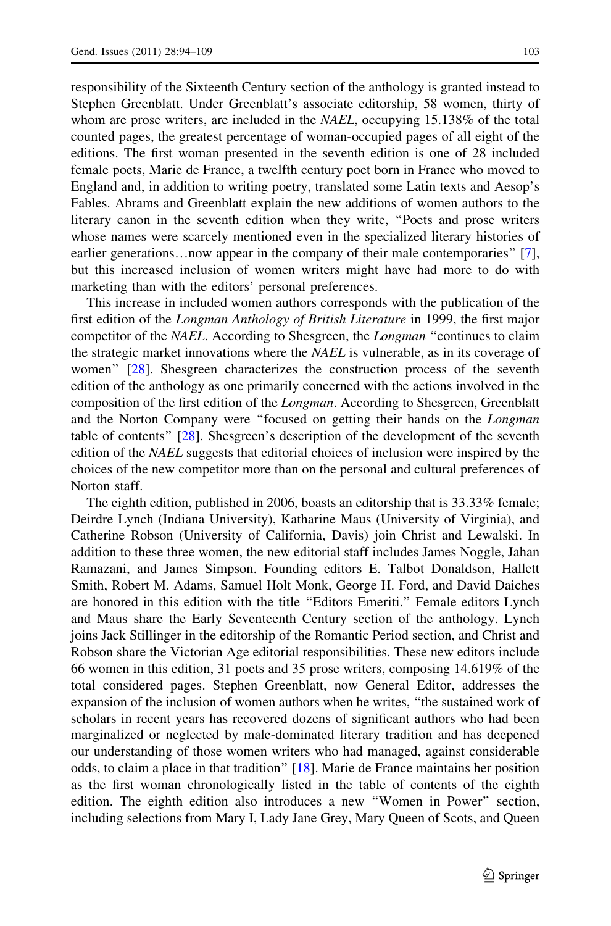responsibility of the Sixteenth Century section of the anthology is granted instead to Stephen Greenblatt. Under Greenblatt's associate editorship, 58 women, thirty of whom are prose writers, are included in the *NAEL*, occupying 15.138% of the total counted pages, the greatest percentage of woman-occupied pages of all eight of the editions. The first woman presented in the seventh edition is one of 28 included female poets, Marie de France, a twelfth century poet born in France who moved to England and, in addition to writing poetry, translated some Latin texts and Aesop's Fables. Abrams and Greenblatt explain the new additions of women authors to the literary canon in the seventh edition when they write, ''Poets and prose writers whose names were scarcely mentioned even in the specialized literary histories of earlier generations...now appear in the company of their male contemporaries" [[7\]](#page-14-0), but this increased inclusion of women writers might have had more to do with marketing than with the editors' personal preferences.

This increase in included women authors corresponds with the publication of the first edition of the *Longman Anthology of British Literature* in 1999, the first major competitor of the *NAEL*. According to Shesgreen, the *Longman* "continues to claim the strategic market innovations where the NAEL is vulnerable, as in its coverage of women'' [[28](#page-15-0)]. Shesgreen characterizes the construction process of the seventh edition of the anthology as one primarily concerned with the actions involved in the composition of the first edition of the *Longman*. According to Shesgreen, Greenblatt and the Norton Company were "focused on getting their hands on the *Longman* table of contents'' [[28\]](#page-15-0). Shesgreen's description of the development of the seventh edition of the NAEL suggests that editorial choices of inclusion were inspired by the choices of the new competitor more than on the personal and cultural preferences of Norton staff.

The eighth edition, published in 2006, boasts an editorship that is 33.33% female; Deirdre Lynch (Indiana University), Katharine Maus (University of Virginia), and Catherine Robson (University of California, Davis) join Christ and Lewalski. In addition to these three women, the new editorial staff includes James Noggle, Jahan Ramazani, and James Simpson. Founding editors E. Talbot Donaldson, Hallett Smith, Robert M. Adams, Samuel Holt Monk, George H. Ford, and David Daiches are honored in this edition with the title ''Editors Emeriti.'' Female editors Lynch and Maus share the Early Seventeenth Century section of the anthology. Lynch joins Jack Stillinger in the editorship of the Romantic Period section, and Christ and Robson share the Victorian Age editorial responsibilities. These new editors include 66 women in this edition, 31 poets and 35 prose writers, composing 14.619% of the total considered pages. Stephen Greenblatt, now General Editor, addresses the expansion of the inclusion of women authors when he writes, ''the sustained work of scholars in recent years has recovered dozens of significant authors who had been marginalized or neglected by male-dominated literary tradition and has deepened our understanding of those women writers who had managed, against considerable odds, to claim a place in that tradition'' [\[18](#page-14-0)]. Marie de France maintains her position as the first woman chronologically listed in the table of contents of the eighth edition. The eighth edition also introduces a new ''Women in Power'' section, including selections from Mary I, Lady Jane Grey, Mary Queen of Scots, and Queen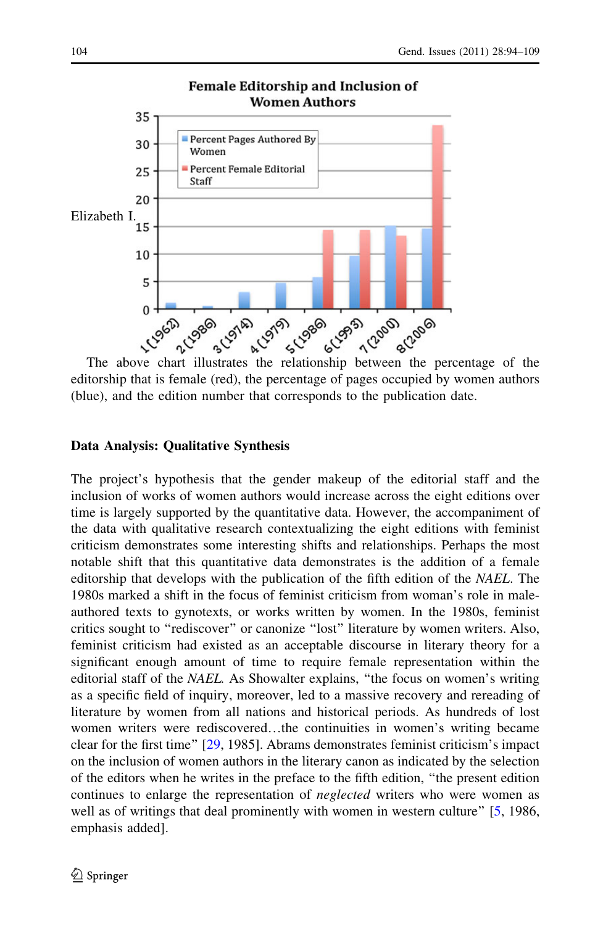

# **Female Editorship and Inclusion of**

editorship that is female (red), the percentage of pages occupied by women authors (blue), and the edition number that corresponds to the publication date.

### Data Analysis: Qualitative Synthesis

The project's hypothesis that the gender makeup of the editorial staff and the inclusion of works of women authors would increase across the eight editions over time is largely supported by the quantitative data. However, the accompaniment of the data with qualitative research contextualizing the eight editions with feminist criticism demonstrates some interesting shifts and relationships. Perhaps the most notable shift that this quantitative data demonstrates is the addition of a female editorship that develops with the publication of the fifth edition of the *NAEL*. The 1980s marked a shift in the focus of feminist criticism from woman's role in maleauthored texts to gynotexts, or works written by women. In the 1980s, feminist critics sought to ''rediscover'' or canonize ''lost'' literature by women writers. Also, feminist criticism had existed as an acceptable discourse in literary theory for a significant enough amount of time to require female representation within the editorial staff of the NAEL. As Showalter explains, "the focus on women's writing as a specific field of inquiry, moreover, led to a massive recovery and rereading of literature by women from all nations and historical periods. As hundreds of lost women writers were rediscovered…the continuities in women's writing became clear for the first time'' [[29,](#page-15-0) 1985]. Abrams demonstrates feminist criticism's impact on the inclusion of women authors in the literary canon as indicated by the selection of the editors when he writes in the preface to the fifth edition, ''the present edition continues to enlarge the representation of *neglected* writers who were women as well as of writings that deal prominently with women in western culture" [[5,](#page-14-0) 1986, emphasis added].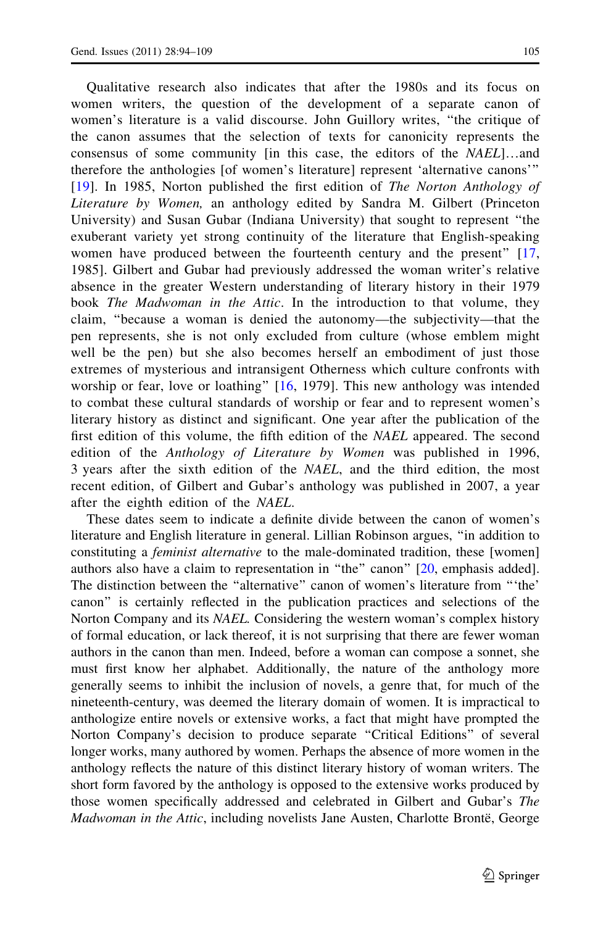Qualitative research also indicates that after the 1980s and its focus on women writers, the question of the development of a separate canon of women's literature is a valid discourse. John Guillory writes, ''the critique of the canon assumes that the selection of texts for canonicity represents the consensus of some community [in this case, the editors of the NAEL]…and therefore the anthologies [of women's literature] represent 'alternative canons''' [\[19\]](#page-14-0). In 1985, Norton published the first edition of The Norton Anthology of Literature by Women, an anthology edited by Sandra M. Gilbert (Princeton University) and Susan Gubar (Indiana University) that sought to represent ''the exuberant variety yet strong continuity of the literature that English-speaking women have produced between the fourteenth century and the present'' [[17,](#page-14-0) 1985]. Gilbert and Gubar had previously addressed the woman writer's relative absence in the greater Western understanding of literary history in their 1979 book The Madwoman in the Attic. In the introduction to that volume, they claim, ''because a woman is denied the autonomy—the subjectivity—that the pen represents, she is not only excluded from culture (whose emblem might well be the pen) but she also becomes herself an embodiment of just those extremes of mysterious and intransigent Otherness which culture confronts with worship or fear, love or loathing" [[16](#page-14-0), 1979]. This new anthology was intended to combat these cultural standards of worship or fear and to represent women's literary history as distinct and significant. One year after the publication of the first edition of this volume, the fifth edition of the *NAEL* appeared. The second edition of the *Anthology of Literature by Women* was published in 1996, 3 years after the sixth edition of the NAEL, and the third edition, the most recent edition, of Gilbert and Gubar's anthology was published in 2007, a year after the eighth edition of the NAEL.

These dates seem to indicate a definite divide between the canon of women's literature and English literature in general. Lillian Robinson argues, ''in addition to constituting a *feminist alternative* to the male-dominated tradition, these [women] authors also have a claim to representation in ''the'' canon'' [[20,](#page-15-0) emphasis added]. The distinction between the "alternative" canon of women's literature from "'the' canon'' is certainly reflected in the publication practices and selections of the Norton Company and its NAEL. Considering the western woman's complex history of formal education, or lack thereof, it is not surprising that there are fewer woman authors in the canon than men. Indeed, before a woman can compose a sonnet, she must first know her alphabet. Additionally, the nature of the anthology more generally seems to inhibit the inclusion of novels, a genre that, for much of the nineteenth-century, was deemed the literary domain of women. It is impractical to anthologize entire novels or extensive works, a fact that might have prompted the Norton Company's decision to produce separate ''Critical Editions'' of several longer works, many authored by women. Perhaps the absence of more women in the anthology reflects the nature of this distinct literary history of woman writers. The short form favored by the anthology is opposed to the extensive works produced by those women specifically addressed and celebrated in Gilbert and Gubar's The *Madwoman in the Attic*, including novelists Jane Austen, Charlotte Brontë, George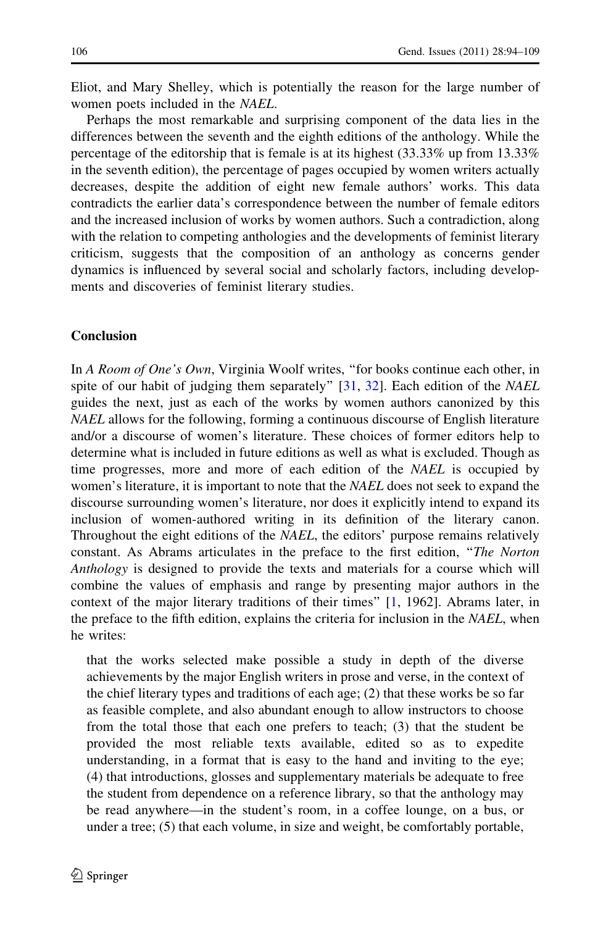Eliot, and Mary Shelley, which is potentially the reason for the large number of women poets included in the *NAEL*.

Perhaps the most remarkable and surprising component of the data lies in the differences between the seventh and the eighth editions of the anthology. While the percentage of the editorship that is female is at its highest (33.33% up from 13.33% in the seventh edition), the percentage of pages occupied by women writers actually decreases, despite the addition of eight new female authors' works. This data contradicts the earlier data's correspondence between the number of female editors and the increased inclusion of works by women authors. Such a contradiction, along with the relation to competing anthologies and the developments of feminist literary criticism, suggests that the composition of an anthology as concerns gender dynamics is influenced by several social and scholarly factors, including developments and discoveries of feminist literary studies.

### Conclusion

In A Room of One's Own, Virginia Woolf writes, "for books continue each other, in spite of our habit of judging them separately" [[31,](#page-15-0) [32\]](#page-15-0). Each edition of the NAEL guides the next, just as each of the works by women authors canonized by this NAEL allows for the following, forming a continuous discourse of English literature and/or a discourse of women's literature. These choices of former editors help to determine what is included in future editions as well as what is excluded. Though as time progresses, more and more of each edition of the NAEL is occupied by women's literature, it is important to note that the *NAEL* does not seek to expand the discourse surrounding women's literature, nor does it explicitly intend to expand its inclusion of women-authored writing in its definition of the literary canon. Throughout the eight editions of the NAEL, the editors' purpose remains relatively constant. As Abrams articulates in the preface to the first edition, ''The Norton Anthology is designed to provide the texts and materials for a course which will combine the values of emphasis and range by presenting major authors in the context of the major literary traditions of their times'' [[1,](#page-14-0) 1962]. Abrams later, in the preface to the fifth edition, explains the criteria for inclusion in the NAEL, when he writes:

that the works selected make possible a study in depth of the diverse achievements by the major English writers in prose and verse, in the context of the chief literary types and traditions of each age; (2) that these works be so far as feasible complete, and also abundant enough to allow instructors to choose from the total those that each one prefers to teach; (3) that the student be provided the most reliable texts available, edited so as to expedite understanding, in a format that is easy to the hand and inviting to the eye; (4) that introductions, glosses and supplementary materials be adequate to free the student from dependence on a reference library, so that the anthology may be read anywhere—in the student's room, in a coffee lounge, on a bus, or under a tree; (5) that each volume, in size and weight, be comfortably portable,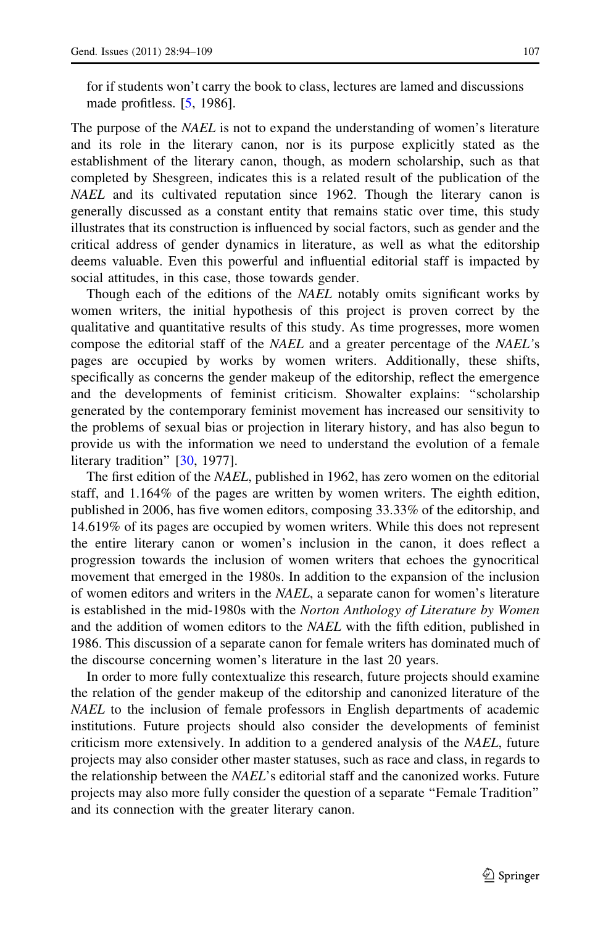for if students won't carry the book to class, lectures are lamed and discussions made profitless. [\[5](#page-14-0), 1986].

The purpose of the *NAEL* is not to expand the understanding of women's literature and its role in the literary canon, nor is its purpose explicitly stated as the establishment of the literary canon, though, as modern scholarship, such as that completed by Shesgreen, indicates this is a related result of the publication of the NAEL and its cultivated reputation since 1962. Though the literary canon is generally discussed as a constant entity that remains static over time, this study illustrates that its construction is influenced by social factors, such as gender and the critical address of gender dynamics in literature, as well as what the editorship deems valuable. Even this powerful and influential editorial staff is impacted by social attitudes, in this case, those towards gender.

Though each of the editions of the *NAEL* notably omits significant works by women writers, the initial hypothesis of this project is proven correct by the qualitative and quantitative results of this study. As time progresses, more women compose the editorial staff of the NAEL and a greater percentage of the NAEL's pages are occupied by works by women writers. Additionally, these shifts, specifically as concerns the gender makeup of the editorship, reflect the emergence and the developments of feminist criticism. Showalter explains: ''scholarship generated by the contemporary feminist movement has increased our sensitivity to the problems of sexual bias or projection in literary history, and has also begun to provide us with the information we need to understand the evolution of a female literary tradition" [\[30,](#page-15-0) 1977].

The first edition of the NAEL, published in 1962, has zero women on the editorial staff, and 1.164% of the pages are written by women writers. The eighth edition, published in 2006, has five women editors, composing 33.33% of the editorship, and 14.619% of its pages are occupied by women writers. While this does not represent the entire literary canon or women's inclusion in the canon, it does reflect a progression towards the inclusion of women writers that echoes the gynocritical movement that emerged in the 1980s. In addition to the expansion of the inclusion of women editors and writers in the NAEL, a separate canon for women's literature is established in the mid-1980s with the *Norton Anthology of Literature by Women* and the addition of women editors to the NAEL with the fifth edition, published in 1986. This discussion of a separate canon for female writers has dominated much of the discourse concerning women's literature in the last 20 years.

In order to more fully contextualize this research, future projects should examine the relation of the gender makeup of the editorship and canonized literature of the NAEL to the inclusion of female professors in English departments of academic institutions. Future projects should also consider the developments of feminist criticism more extensively. In addition to a gendered analysis of the NAEL, future projects may also consider other master statuses, such as race and class, in regards to the relationship between the *NAEL*'s editorial staff and the canonized works. Future projects may also more fully consider the question of a separate ''Female Tradition'' and its connection with the greater literary canon.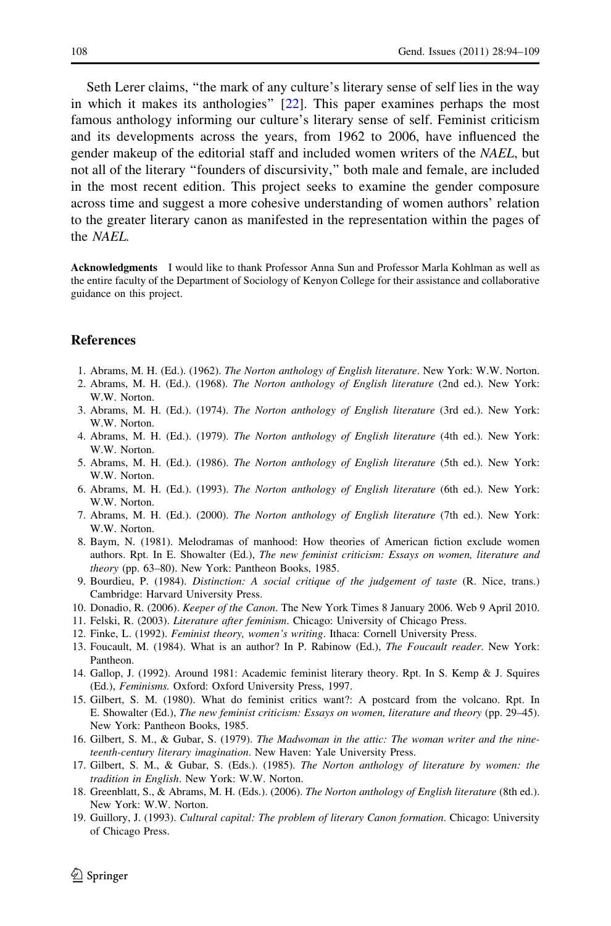<span id="page-14-0"></span>Seth Lerer claims, ''the mark of any culture's literary sense of self lies in the way in which it makes its anthologies'' [\[22](#page-15-0)]. This paper examines perhaps the most famous anthology informing our culture's literary sense of self. Feminist criticism and its developments across the years, from 1962 to 2006, have influenced the gender makeup of the editorial staff and included women writers of the NAEL, but not all of the literary ''founders of discursivity,'' both male and female, are included in the most recent edition. This project seeks to examine the gender composure across time and suggest a more cohesive understanding of women authors' relation to the greater literary canon as manifested in the representation within the pages of the NAEL.

Acknowledgments I would like to thank Professor Anna Sun and Professor Marla Kohlman as well as the entire faculty of the Department of Sociology of Kenyon College for their assistance and collaborative guidance on this project.

### References

- 1. Abrams, M. H. (Ed.). (1962). The Norton anthology of English literature. New York: W.W. Norton.
- 2. Abrams, M. H. (Ed.). (1968). The Norton anthology of English literature (2nd ed.). New York: W.W. Norton.
- 3. Abrams, M. H. (Ed.). (1974). The Norton anthology of English literature (3rd ed.). New York: W.W. Norton.
- 4. Abrams, M. H. (Ed.). (1979). The Norton anthology of English literature (4th ed.). New York: W.W. Norton.
- 5. Abrams, M. H. (Ed.). (1986). The Norton anthology of English literature (5th ed.). New York: W.W. Norton.
- 6. Abrams, M. H. (Ed.). (1993). The Norton anthology of English literature (6th ed.). New York: W.W. Norton.
- 7. Abrams, M. H. (Ed.). (2000). The Norton anthology of English literature (7th ed.). New York: W.W. Norton.
- 8. Baym, N. (1981). Melodramas of manhood: How theories of American fiction exclude women authors. Rpt. In E. Showalter (Ed.), The new feminist criticism: Essays on women, literature and theory (pp. 63–80). New York: Pantheon Books, 1985.
- 9. Bourdieu, P. (1984). Distinction: A social critique of the judgement of taste (R. Nice, trans.) Cambridge: Harvard University Press.
- 10. Donadio, R. (2006). Keeper of the Canon. The New York Times 8 January 2006. Web 9 April 2010.
- 11. Felski, R. (2003). Literature after feminism. Chicago: University of Chicago Press.
- 12. Finke, L. (1992). Feminist theory, women's writing. Ithaca: Cornell University Press.
- 13. Foucault, M. (1984). What is an author? In P. Rabinow (Ed.), The Foucault reader. New York: Pantheon.
- 14. Gallop, J. (1992). Around 1981: Academic feminist literary theory. Rpt. In S. Kemp & J. Squires (Ed.), Feminisms. Oxford: Oxford University Press, 1997.
- 15. Gilbert, S. M. (1980). What do feminist critics want?: A postcard from the volcano. Rpt. In E. Showalter (Ed.), The new feminist criticism: Essays on women, literature and theory (pp. 29–45). New York: Pantheon Books, 1985.
- 16. Gilbert, S. M., & Gubar, S. (1979). The Madwoman in the attic: The woman writer and the nineteenth-century literary imagination. New Haven: Yale University Press.
- 17. Gilbert, S. M., & Gubar, S. (Eds.). (1985). The Norton anthology of literature by women: the tradition in English. New York: W.W. Norton.
- 18. Greenblatt, S., & Abrams, M. H. (Eds.). (2006). The Norton anthology of English literature (8th ed.). New York: W.W. Norton.
- 19. Guillory, J. (1993). Cultural capital: The problem of literary Canon formation. Chicago: University of Chicago Press.